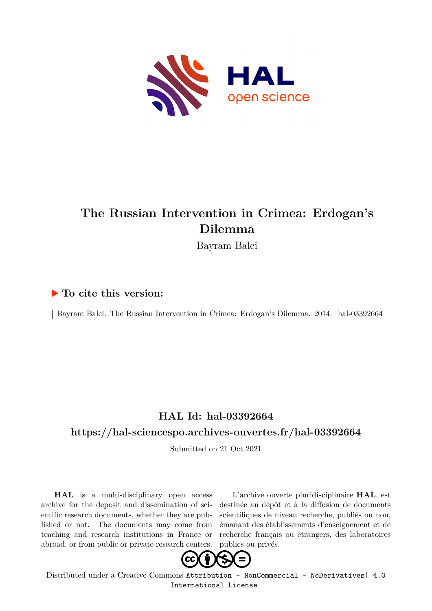

## **The Russian Intervention in Crimea: Erdogan's Dilemma**

Bayram Balci

### **To cite this version:**

Bayram Balci. The Russian Intervention in Crimea: Erdogan's Dilemma. 2014. hal-03392664

## **HAL Id: hal-03392664**

### **<https://hal-sciencespo.archives-ouvertes.fr/hal-03392664>**

Submitted on 21 Oct 2021

**HAL** is a multi-disciplinary open access archive for the deposit and dissemination of scientific research documents, whether they are published or not. The documents may come from teaching and research institutions in France or abroad, or from public or private research centers.

L'archive ouverte pluridisciplinaire **HAL**, est destinée au dépôt et à la diffusion de documents scientifiques de niveau recherche, publiés ou non, émanant des établissements d'enseignement et de recherche français ou étrangers, des laboratoires publics ou privés.



Distributed under a Creative Commons [Attribution - NonCommercial - NoDerivatives| 4.0](http://creativecommons.org/licenses/by-nc-nd/4.0/) [International License](http://creativecommons.org/licenses/by-nc-nd/4.0/)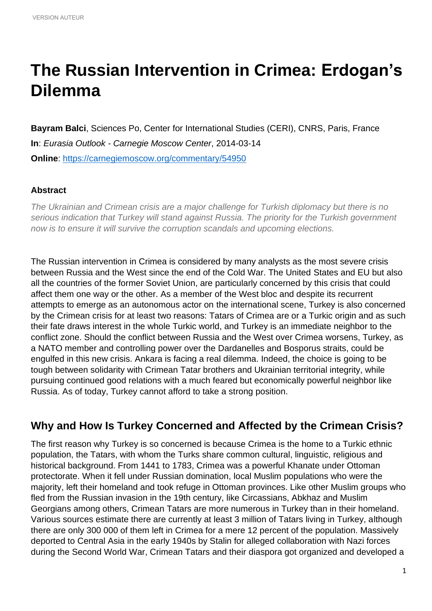# **The Russian Intervention in Crimea: Erdogan's Dilemma**

**Bayram Balci**, Sciences Po, Center for International Studies (CERI), CNRS, Paris, France **In**: *Eurasia Outlook - Carnegie Moscow Center*, 2014-03-14 **Online**:<https://carnegiemoscow.org/commentary/54950>

#### **Abstract**

*The Ukrainian and Crimean crisis are a major challenge for Turkish diplomacy but there is no serious indication that Turkey will stand against Russia. The priority for the Turkish government now is to ensure it will survive the corruption scandals and upcoming elections.*

The Russian intervention in Crimea is considered by many analysts as the most severe crisis between Russia and the West since the end of the Cold War. The United States and EU but also all the countries of the former Soviet Union, are particularly concerned by this crisis that could affect them one way or the other. As a member of the West bloc and despite its recurrent attempts to emerge as an autonomous actor on the international scene, Turkey is also concerned by the Crimean crisis for at least two reasons: Tatars of Crimea are or a Turkic origin and as such their fate draws interest in the whole Turkic world, and Turkey is an immediate neighbor to the conflict zone. Should the conflict between Russia and the West over Crimea worsens, Turkey, as a NATO member and controlling power over the Dardanelles and Bosporus straits, could be engulfed in this new crisis. Ankara is facing a real dilemma. Indeed, the choice is going to be tough between solidarity with Crimean Tatar brothers and Ukrainian territorial integrity, while pursuing continued good relations with a much feared but economically powerful neighbor like Russia. As of today, Turkey cannot afford to take a strong position.

### **Why and How Is Turkey Concerned and Affected by the Crimean Crisis?**

The first reason why Turkey is so concerned is because Crimea is the home to a Turkic ethnic population, the Tatars, with whom the Turks share common cultural, linguistic, religious and historical background. From 1441 to 1783, Crimea was a powerful Khanate under Ottoman protectorate. When it fell under Russian domination, local Muslim populations who were the majority, left their homeland and took refuge in Ottoman provinces. Like other Muslim groups who fled from the Russian invasion in the 19th century, like Circassians, Abkhaz and Muslim Georgians among others, Crimean Tatars are more numerous in Turkey than in their homeland. Various sources estimate there are currently at least 3 million of Tatars living in Turkey, although there are only 300 000 of them left in Crimea for a mere 12 percent of the population. Massively deported to Central Asia in the early 1940s by Stalin for alleged collaboration with Nazi forces during the Second World War, Crimean Tatars and their diaspora got organized and developed a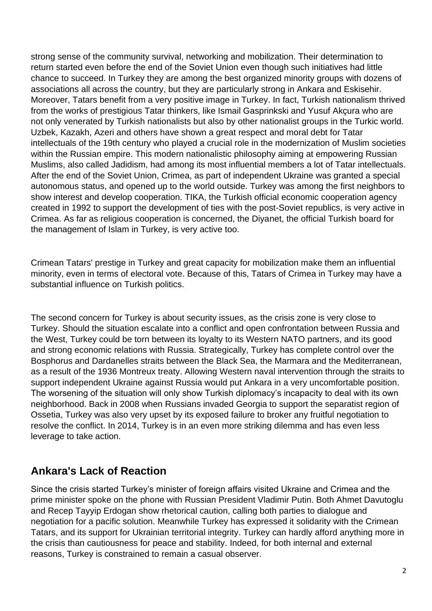strong sense of the community survival, networking and mobilization. Their determination to return started even before the end of the Soviet Union even though such initiatives had little chance to succeed. In Turkey they are among the best organized minority groups with dozens of associations all across the country, but they are particularly strong in Ankara and Eskisehir. Moreover, Tatars benefit from a very positive image in Turkey. In fact, Turkish nationalism thrived from the works of prestigious Tatar thinkers, like Ismail Gasprinkski and Yusuf Akçura who are not only venerated by Turkish nationalists but also by other nationalist groups in the Turkic world. Uzbek, Kazakh, Azeri and others have shown a great respect and moral debt for Tatar intellectuals of the 19th century who played a crucial role in the modernization of Muslim societies within the Russian empire. This modern nationalistic philosophy aiming at empowering Russian Muslims, also called Jadidism, had among its most influential members a lot of Tatar intellectuals. After the end of the Soviet Union, Crimea, as part of independent Ukraine was granted a special autonomous status, and opened up to the world outside. Turkey was among the first neighbors to show interest and develop cooperation. TIKA, the Turkish official economic cooperation agency created in 1992 to support the development of ties with the post-Soviet republics, is very active in Crimea. As far as religious cooperation is concerned, the Diyanet, the official Turkish board for the management of Islam in Turkey, is very active too.

Crimean Tatars' prestige in Turkey and great capacity for mobilization make them an influential minority, even in terms of electoral vote. Because of this, Tatars of Crimea in Turkey may have a substantial influence on Turkish politics.

The second concern for Turkey is about security issues, as the crisis zone is very close to Turkey. Should the situation escalate into a conflict and open confrontation between Russia and the West, Turkey could be torn between its loyalty to its Western NATO partners, and its good and strong economic relations with Russia. Strategically, Turkey has complete control over the Bosphorus and Dardanelles straits between the Black Sea, the Marmara and the Mediterranean, as a result of the 1936 Montreux treaty. Allowing Western naval intervention through the straits to support independent Ukraine against Russia would put Ankara in a very uncomfortable position. The worsening of the situation will only show Turkish diplomacy's incapacity to deal with its own neighborhood. Back in 2008 when Russians invaded Georgia to support the separatist region of Ossetia, Turkey was also very upset by its exposed failure to broker any fruitful negotiation to resolve the conflict. In 2014, Turkey is in an even more striking dilemma and has even less leverage to take action.

## **Ankara's Lack of Reaction**

Since the crisis started Turkey's minister of foreign affairs visited Ukraine and Crimea and the prime minister spoke on the phone with Russian President Vladimir Putin. Both Ahmet Davutoglu and Recep Tayyip Erdogan show rhetorical caution, calling both parties to dialogue and negotiation for a pacific solution. Meanwhile Turkey has expressed it solidarity with the Crimean Tatars, and its support for Ukrainian territorial integrity. Turkey can hardly afford anything more in the crisis than cautiousness for peace and stability. Indeed, for both internal and external reasons, Turkey is constrained to remain a casual observer.